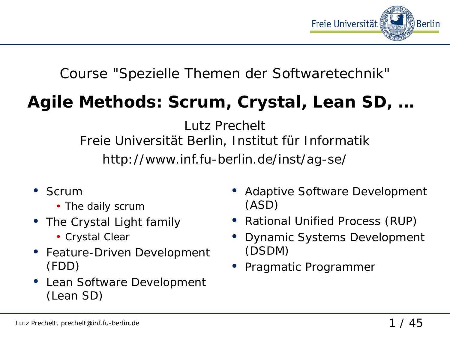

#### Course "Spezielle Themen der Softwaretechnik"

# **Agile Methods: Scrum, Crystal, Lean SD, …**

Lutz Prechelt Freie Universität Berlin, Institut für Informatik http://www.inf.fu-berlin.de/inst/ag-se/

- Scrum
	- The daily scrum
- The Crystal Light family
	- Crystal Clear
- Feature-Driven Development (FDD)
- Lean Software Development (Lean SD)
- Adaptive Software Development (ASD)
- Rational Unified Process (RUP)
- Dynamic Systems Development (DSDM)
- Pragmatic Programmer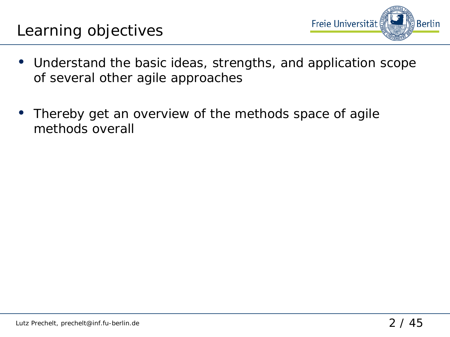

- Understand the basic ideas, strengths, and application scope of several other agile approaches
- Thereby get an overview of the methods space of agile methods overall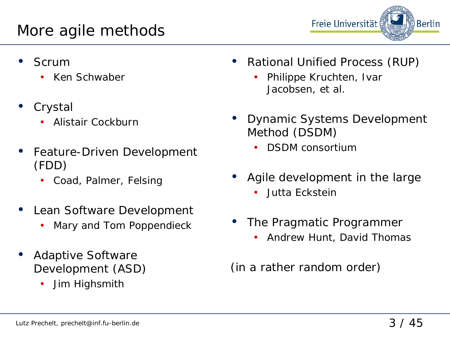

- **Scrum** 
	- Ken Schwaber
- **Crystal** 
	- Alistair Cockburn
- Feature-Driven Development (FDD)
	- Coad, Palmer, Felsing
- Lean Software Development
	- Mary and Tom Poppendieck
- Adaptive Software Development (ASD)
	- Jim Highsmith
- Rational Unified Process (RUP)
	- Philippe Kruchten, Ivar Jacobsen, et al.
- Dynamic Systems Development Method (DSDM)
	- DSDM consortium
- Agile development in the large
	- Jutta Eckstein
- The Pragmatic Programmer
	- Andrew Hunt, David Thomas

(in a rather random order)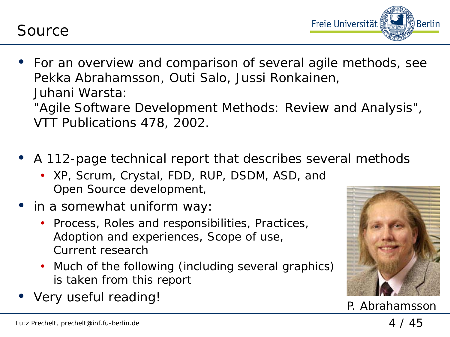Source



• For an overview and comparison of several agile methods, see Pekka Abrahamsson, Outi Salo, Jussi Ronkainen, Juhani Warsta:

*"Agile Software Development Methods: Review and Analysis"*, VTT Publications 478, 2002.

- A 112-page technical report that describes several methods
	- XP, Scrum, Crystal, FDD, RUP, DSDM, ASD, and Open Source development,
- in a somewhat uniform way:
	- Process, Roles and responsibilities, Practices, Adoption and experiences, Scope of use, Current research
	- Much of the following (including several graphics) is taken from this report
- very useful reading!<br>
P. Abrahamsson

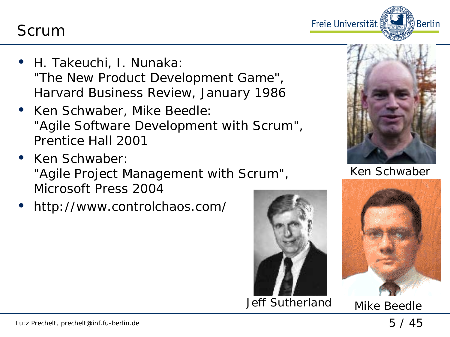Scrum

- H. Takeuchi, I. Nunaka: *"The New Product Development Game"*, Harvard Business Review, January 1986
- Ken Schwaber, Mike Beedle: *"Agile Software Development with Scrum"*, Prentice Hall 2001
- Ken Schwaber: *"Agile Project Management with Scrum"*, Microsoft Press 2004
- http://www.controlchaos.com/







ြို့ Berlin

Freie Universität

Ken Schwaber



Jeff Sutherland Mike Beedle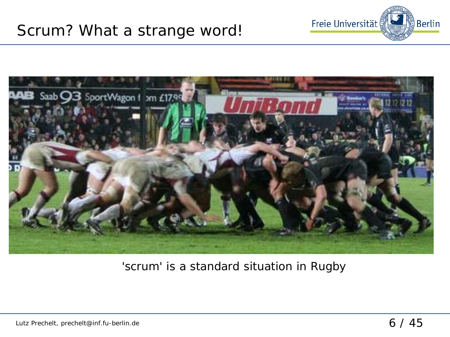



#### 'scrum' is a standard situation in Rugby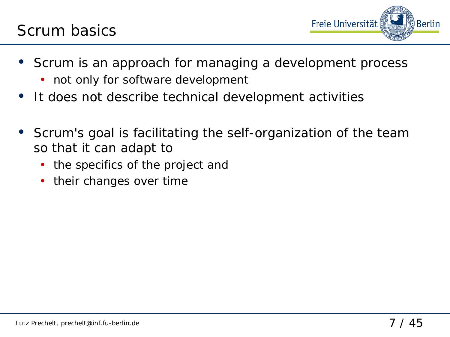

- Scrum is an approach for managing a development process
	- not only for software development
- It does not describe technical development activities
- Scrum's goal is *facilitating the self-organization of the team* so that it can adapt to
	- the specifics of the project and
	- their changes over time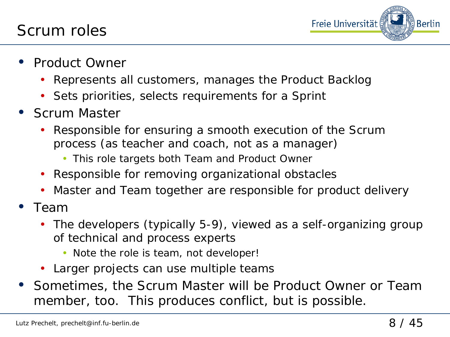

- Product Owner
	- Represents all customers, manages the *Product Backlog*
	- Sets priorities, selects requirements for a *Sprint*
- Scrum Master
	- Responsible for ensuring a smooth execution of the Scrum process (as teacher and coach, not as a manager)
		- This role targets both Team and Product Owner
	- Responsible for removing organizational obstacles
	- *Master* and *Team* together are responsible for product delivery
- Team
	- The developers (typically 5-9), viewed as a self-organizing group of technical and process experts
		- Note the role is team, not developer!
	- Larger projects can use multiple teams
- Sometimes, the *Scrum Master* will be *Product Owner* or *Team member*, too. This produces conflict, but is possible.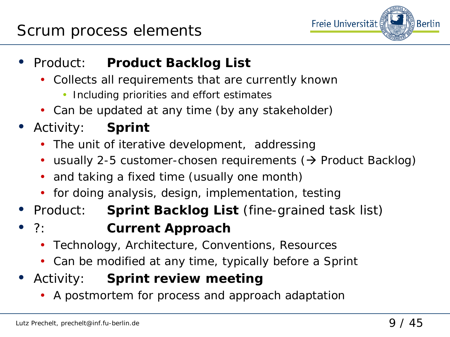

- Product: *Product Backlog List*
	- Collects all requirements that are currently known
		- Including priorities and effort estimates
	- Can be updated at any time (by any stakeholder)
- Activity: *Sprint*
	- The unit of iterative development, addressing
	- usually 2-5 customer-chosen requirements  $($  > Product Backlog)
	- and taking a fixed time (usually one month)
	- for doing analysis, design, implementation, testing
- Product: *Sprint Backlog List* (fine-grained task list)
- ?: *Current Approach*
	- Technology, Architecture, Conventions, Resources
	- Can be modified at any time, typically before a Sprint
- Activity: *Sprint review meeting*
	- A postmortem for process and approach adaptation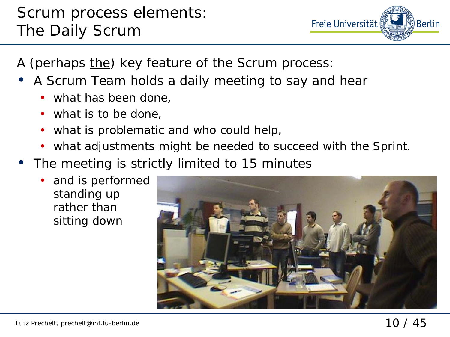

A (perhaps the) key feature of the Scrum process:

- A Scrum Team holds a daily meeting to say and hear
	- what has been done.
	- what is to be done,
	- what is problematic and who could help,
	- what adjustments might be needed to succeed with the Sprint.
- The meeting is strictly limited to 15 minutes
	- and is performed standing up rather than sitting down

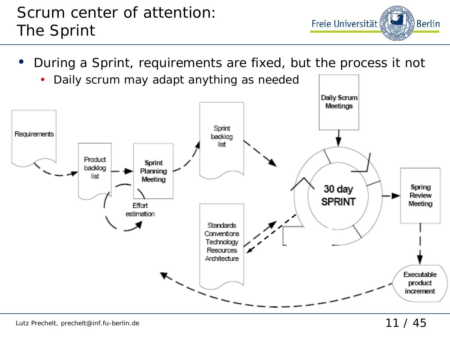## Scrum center of attention: The Sprint

• During a Sprint, requirements are fixed, but the process it not



Freie Universität

္ခ်ီ Berlin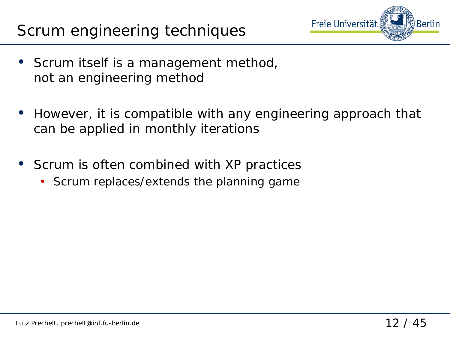## Scrum engineering techniques



- Scrum itself is a management method, not an engineering method
- However, it is compatible with any engineering approach that can be applied in monthly iterations
- Scrum is often combined with XP practices
	- Scrum replaces/extends the planning game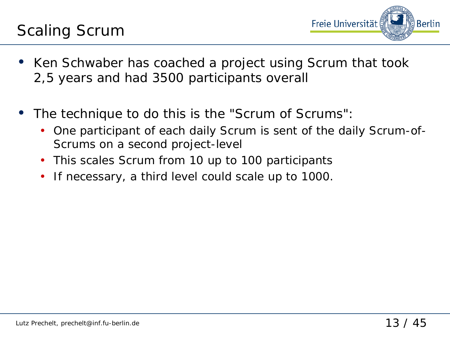

- Ken Schwaber has coached a project using Scrum that took 2,5 years and had 3500 participants overall
- The technique to do this is the "Scrum of Scrums":
	- One participant of each daily Scrum is sent of the daily Scrum-of-Scrums on a second project-level
	- This scales Scrum from 10 up to 100 participants
	- If necessary, a third level could scale up to 1000.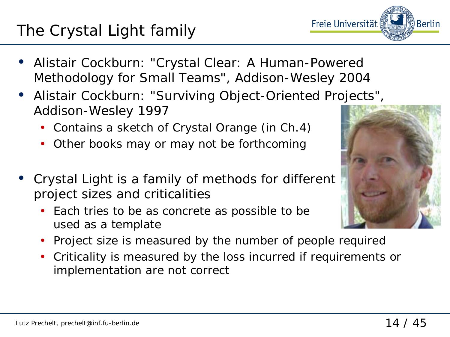# The Crystal Light family

- Alistair Cockburn: *"Crystal Clear: A Human-Powered Methodology for Small Teams"*, Addison-Wesley 2004
- Alistair Cockburn: "Surviving Object-Oriented Projects", Addison-Wesley 1997
	- Contains a sketch of *Crystal Orange* (in Ch.4)
	- Other books may or may not be forthcoming
- *Crystal Light* is a family of methods for different project sizes and criticalities
	- Each tries to be as concrete as possible to be used as a template
	- Project size is measured by the number of people required
	- Criticality is measured by the loss incurred if requirements or implementation are not correct



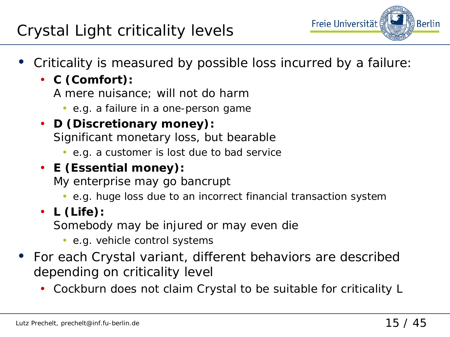# Crystal Light criticality levels

- Freie Universität **Berlin**
- Criticality is measured by possible loss incurred by a failure:
	- **C (Comfort):**
		- A mere nuisance; will not do harm
			- e.g. a failure in a one-person game
	- **D (Discretionary money):**  Significant monetary loss, but bearable
		- e.g. a customer is lost due to bad service

#### • **E (Essential money):**

My enterprise may go bancrupt

- e.g. huge loss due to an incorrect financial transaction system
- **L (Life):**

Somebody may be injured or may even die

- e.g. vehicle control systems
- For each Crystal variant, different behaviors are described depending on criticality level
	- Cockburn does not claim Crystal to be suitable for criticality L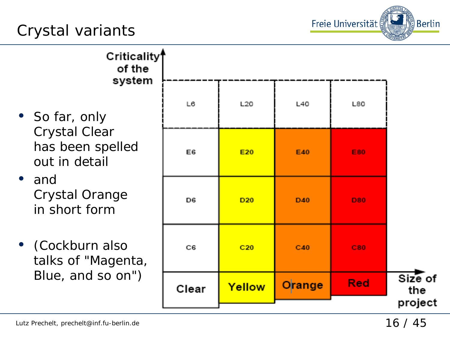# Crystal variants



Criticality<sup>4</sup> of the system • So far, only Crystal Clear has been spelled

• and Crystal Orange in short form

out in detail

• (Cockburn also talks of "Magenta, Blue, and so on")

|  |       |                 |        |            | project        |
|--|-------|-----------------|--------|------------|----------------|
|  | Clear | Yellow          | Orange | <b>Red</b> | Size of<br>the |
|  | C6    | C20             | C40    | C80        |                |
|  | D6    | D <sub>20</sub> | D40    | <b>D80</b> |                |
|  | E6    | E20             | E40    | E80        |                |
|  | L6    | L20             | L40    | L80        |                |
|  |       |                 |        |            |                |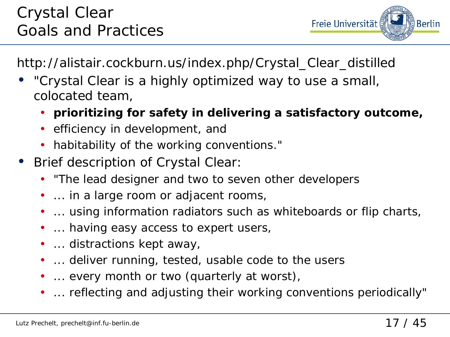

http://alistair.cockburn.us/index.php/Crystal\_Clear\_distilled

- "Crystal Clear is a highly optimized way to use a small, colocated team,
	- **prioritizing for safety in delivering a satisfactory outcome,**
	- efficiency in development, and
	- habitability of the working conventions."
- Brief description of Crystal Clear:
	- "The lead designer and two to seven other developers
	- ... in a large room or adjacent rooms,
	- ... using information radiators such as whiteboards or flip charts,
	- ... having easy access to expert users,
	- ... distractions kept away,
	- ... deliver running, tested, usable code to the users
	- ... every month or two (quarterly at worst),
	- ... reflecting and adjusting their working conventions periodically"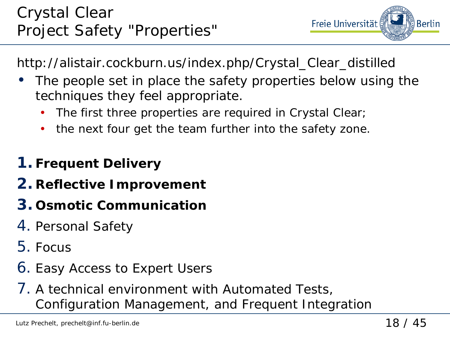Freie Universität Berlin

http://alistair.cockburn.us/index.php/Crystal\_Clear\_distilled

- The people set in place the safety properties below using the techniques they feel appropriate.
	- The first three properties are required in Crystal Clear;
	- the next four get the team further into the safety zone.

# **1. Frequent Delivery**

- **2. Reflective Improvement**
- **3. Osmotic Communication**
- 4. Personal Safety
- 5. Focus
- 6. Easy Access to Expert Users
- 7. A technical environment with Automated Tests, Configuration Management, and Frequent Integration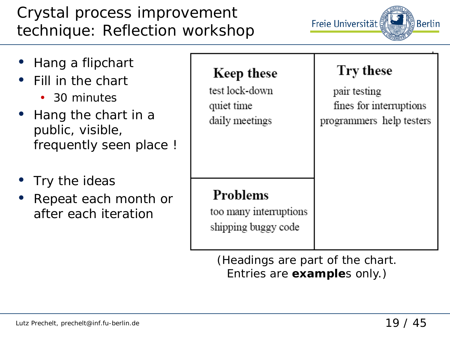# Crystal process improvement technique: Reflection workshop



| • Hang a flipchart<br>• Fill in the chart<br>• 30 minutes<br>• Hang the chart in a<br>public, visible,<br>frequently seen place ! | Keep these<br>test lock-down<br>quiet time<br>daily meetings | Try these<br>pair testing<br>fines for interruptions<br>programmers help testers |
|-----------------------------------------------------------------------------------------------------------------------------------|--------------------------------------------------------------|----------------------------------------------------------------------------------|
| • Try the ideas<br>Repeat each month or<br>$\bullet$<br>after each iteration                                                      | Problems<br>too many interruptions<br>shipping buggy code    |                                                                                  |

(Headings are part of the chart. Entries are **example**s only.)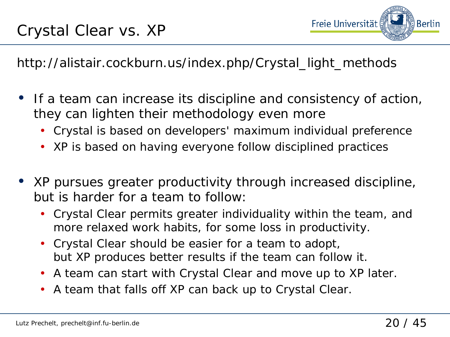

http://alistair.cockburn.us/index.php/Crystal\_light\_methods

- If a team can increase its discipline and consistency of action, they can lighten their methodology even more
	- Crystal is based on developers' maximum individual preference
	- XP is based on having everyone follow disciplined practices
- XP pursues greater productivity through increased discipline, but is harder for a team to follow:
	- Crystal Clear permits greater individuality within the team, and more relaxed work habits, for some loss in productivity.
	- Crystal Clear should be easier for a team to adopt, but XP produces better results if the team can follow it.
	- A team can start with Crystal Clear and move up to XP later.
	- A team that falls off XP can back up to Crystal Clear.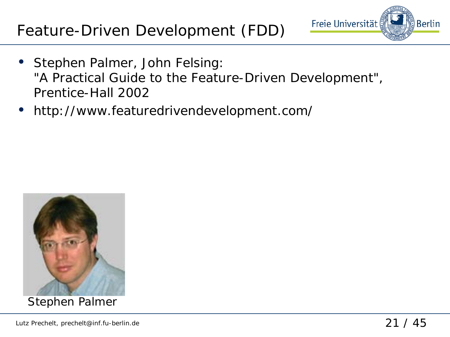# Feature-Driven Development (FDD)



- Stephen Palmer, John Felsing: *"A Practical Guide to the Feature-Driven Development"*, Prentice-Hall 2002
- http://www.featuredrivendevelopment.com/



Stephen Palmer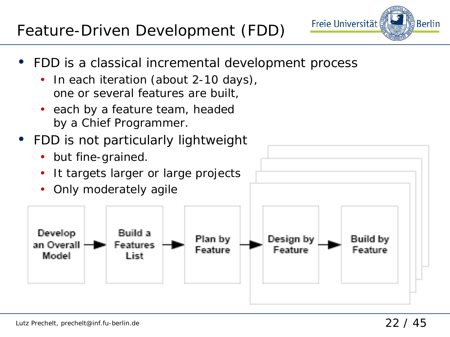# Feature-Driven Development (FDD)

- Freie Universität **Berlin**
- FDD is a classical incremental development process
	- In each iteration (about 2-10 days), one or several features are built,
	- each by a feature team, headed by a Chief Programmer.
- FDD is not particularly lightweight
	- but fine-grained.
	- It targets larger or large projects

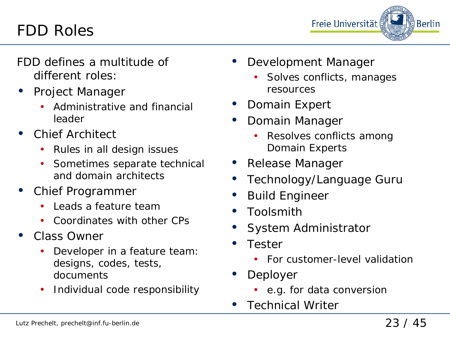# FDD Roles



FDD defines a multitude of different roles:

- Project Manager
	- Administrative and financial leader
- Chief Architect
	- Rules in all design issues
	- Sometimes separate technical and domain architects
- Chief Programmer
	- Leads a feature team
	- Coordinates with other CPs
- Class Owner
	- Developer in a feature team: designs, codes, tests, documents
	- Individual code responsibility
- Development Manager
	- Solves conflicts, manages resources
- Domain Expert
- Domain Manager
	- Resolves conflicts among Domain Experts
- Release Manager
- Technology/Language Guru
- Build Engineer
- Toolsmith
- System Administrator
- Tester
	- For customer-level validation
- Deployer
	- e.g. for data conversion
- **Technical Writer**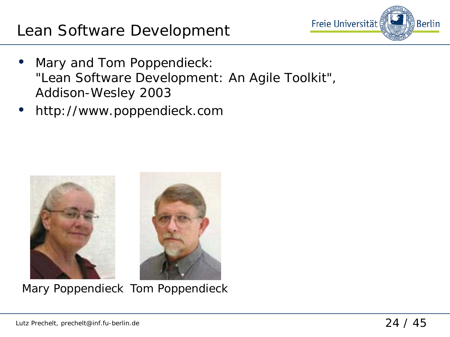

- Mary and Tom Poppendieck: *"Lean Software Development: An Agile Toolkit"*, Addison-Wesley 2003
- http://www.poppendieck.com



Mary Poppendieck Tom Poppendieck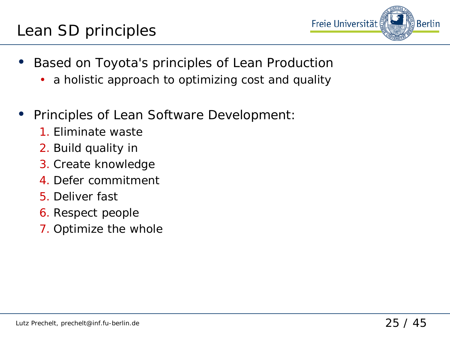### Lean SD principles



- Based on Toyota's principles of Lean Production
	- a holistic approach to optimizing cost and quality
- Principles of Lean Software Development:
	- 1. Eliminate waste
	- 2. Build quality in
	- 3. Create knowledge
	- 4. Defer commitment
	- 5. Deliver fast
	- 6. Respect people
	- 7. Optimize the whole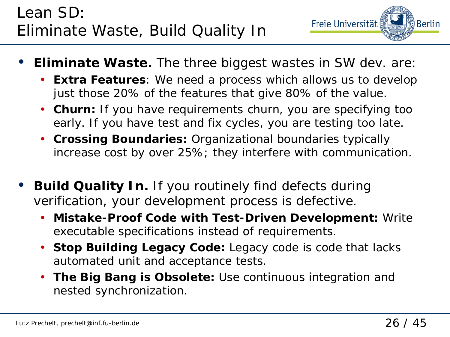

- **Eliminate Waste.** The three biggest wastes in SW dev. are:
	- **Extra Features**: We need a process which allows us to develop just those 20% of the features that give 80% of the value.
	- **Churn:** If you have requirements churn, you are specifying too early. If you have test and fix cycles, you are testing too late.
	- **Crossing Boundaries:** Organizational boundaries typically increase cost by over 25%; they interfere with communication.
- **Build Quality In.** If you routinely find defects during verification, your development process is defective.
	- **Mistake-Proof Code with Test-Driven Development:** Write executable specifications instead of requirements.
	- **Stop Building Legacy Code:** Legacy code is code that lacks automated unit and acceptance tests.
	- **The Big Bang is Obsolete:** Use continuous integration and nested synchronization.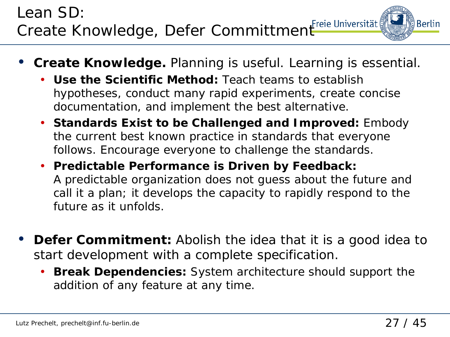# Lean SD: Create Knowledge, Defer Committment Freie Universität

- **Create Knowledge.** Planning is useful. Learning is essential.
	- **Use the Scientific Method:** Teach teams to establish hypotheses, conduct many rapid experiments, create concise documentation, and implement the best alternative.
	- **Standards Exist to be Challenged and Improved:** Embody the current best known practice in standards that everyone follows. Encourage everyone to challenge the standards.
	- **Predictable Performance is Driven by Feedback:**  A predictable organization does not guess about the future and call it a plan; it develops the capacity to rapidly respond to the future as it unfolds.
- **Defer Commitment:** Abolish the idea that it is a good idea to start development with a complete specification.
	- **Break Dependencies:** System architecture should support the addition of any feature at any time.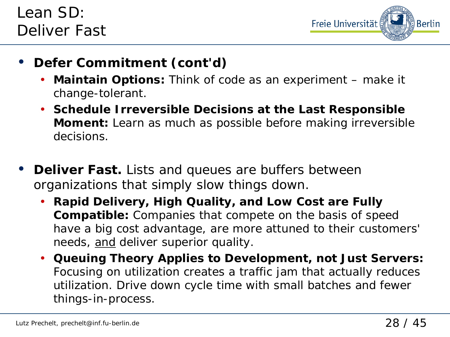

- **Defer Commitment (cont'd)**
	- **Maintain Options:** Think of code as an experiment make it change-tolerant.
	- **Schedule Irreversible Decisions at the Last Responsible Moment:** Learn as much as possible before making irreversible decisions.
- **Deliver Fast.** Lists and queues are buffers between organizations that simply slow things down.
	- **Rapid Delivery, High Quality, and Low Cost are Fully Compatible:** Companies that compete on the basis of speed have a big cost advantage, are more attuned to their customers' needs, and deliver superior quality.
	- **Queuing Theory Applies to Development, not Just Servers:**  Focusing on utilization creates a traffic jam that actually reduces utilization. Drive down cycle time with small batches and fewer things-in-process.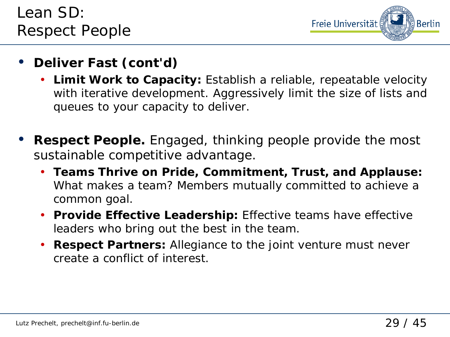

- **Deliver Fast (cont'd)**
	- **Limit Work to Capacity:** Establish a reliable, repeatable velocity with iterative development. Aggressively limit the size of lists and queues to your capacity to deliver.
- **Respect People.** Engaged, thinking people provide the most sustainable competitive advantage.
	- **Teams Thrive on Pride, Commitment, Trust, and Applause:** What makes a team? Members mutually committed to achieve a common goal.
	- **Provide Effective Leadership:** Effective teams have effective leaders who bring out the best in the team.
	- **Respect Partners:** Allegiance to the joint venture must never create a conflict of interest.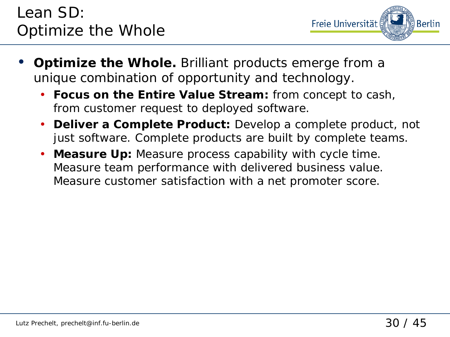# Lean SD: Optimize the Whole



- **Optimize the Whole.** Brilliant products emerge from a unique combination of opportunity and technology.
	- **Focus on the Entire Value Stream:** from concept to cash, from customer request to deployed software.
	- **Deliver a Complete Product:** Develop a complete product, not just software. Complete products are built by complete teams.
	- **Measure Up:** Measure process capability with cycle time. Measure team performance with delivered business value. Measure customer satisfaction with a net promoter score.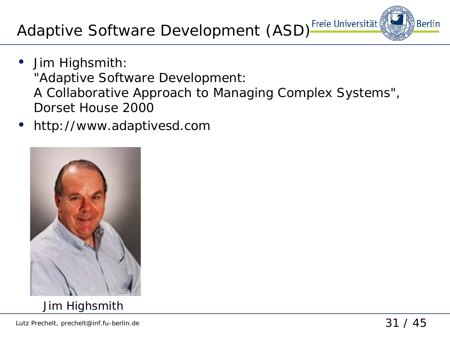Adaptive Software Development (ASD)<sup>Freie Universität</sup>

- Jim Highsmith: *"Adaptive Software Development: A Collaborative Approach to Managing Complex Systems"*, Dorset House 2000
- http://www.adaptivesd.com



**Berlin**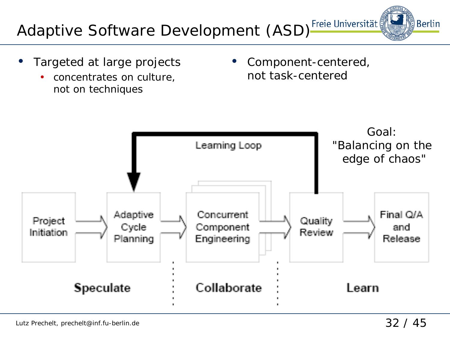Lutz Prechelt, prechelt@inf.fu-berlin.de 32 / 45

∰Berlin

# Adaptive Software Development (ASD)<sup>Freie Universität</sup>

- Targeted at large projects
	- concentrates on culture, not on techniques

• Component-centered, not task-centered

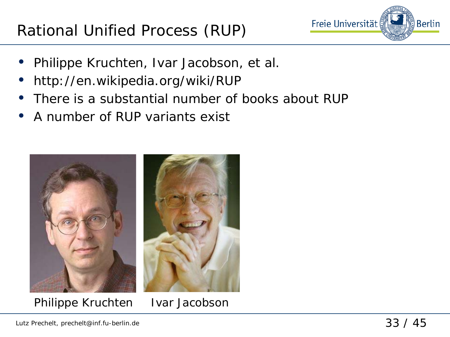

- Philippe Kruchten, Ivar Jacobson, et al.
- http://en.wikipedia.org/wiki/RUP
- There is a substantial number of books about RUP
- A number of RUP variants exist



Philippe Kruchten Ivar Jacobson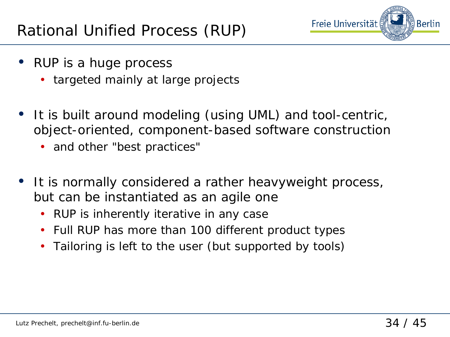

- RUP is a huge process
	- targeted mainly at large projects
- It is built around modeling (using UML) and tool-centric, object-oriented, component-based software construction
	- and other "best practices"
- It is normally considered a rather heavyweight process, but can be instantiated as an agile one
	- RUP is inherently iterative in any case
	- Full RUP has more than 100 different product types
	- Tailoring is left to the user (but supported by tools)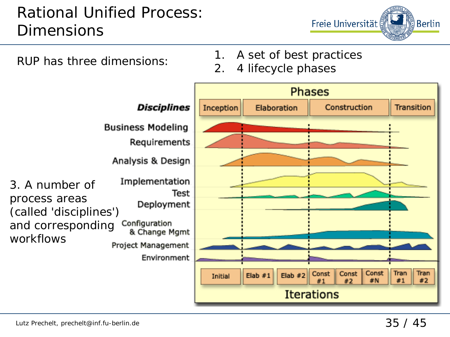# Rational Unified Process: **Dimensions**

Freie Universität ္ခ်ိ Berlin

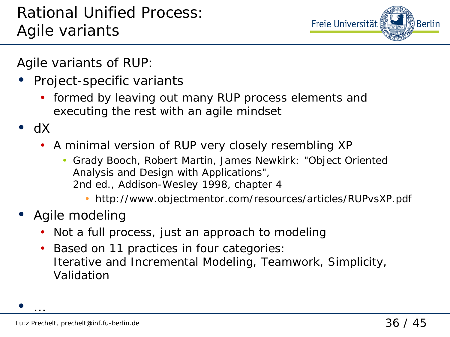

Agile variants of RUP:

- Project-specific variants
	- formed by leaving out many RUP process elements and executing the rest with an agile mindset
- dX

 $\bullet$  …

- A minimal version of RUP very closely resembling XP
	- Grady Booch, Robert Martin, James Newkirk: *"Object Oriented Analysis and Design with Applications"*, 2nd ed., Addison-Wesley 1998, chapter 4
		- http://www.objectmentor.com/resources/articles/RUPvsXP.pdf
- Agile modeling
	- Not a full process, just an approach to modeling
	- Based on 11 practices in four categories: Iterative and Incremental Modeling, Teamwork, Simplicity, Validation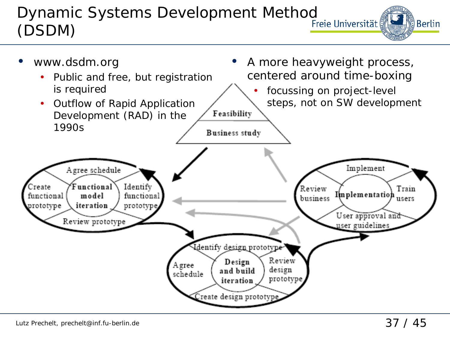#### Dynamic Systems Development Method<br>CRSNAN ∰Berlin (DSDM)

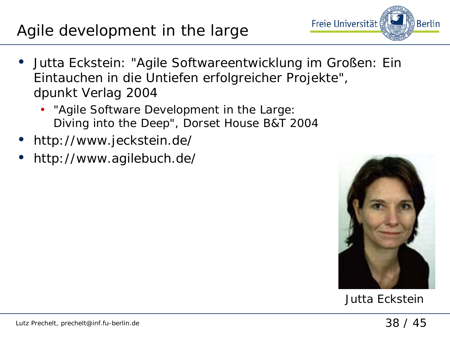#### Lutz Prechelt, prechelt@inf.fu-berlin.de 38 / 45

#### Agile development in the large

- Jutta Eckstein: "Agile Softwareentwicklung im Großen: Ein Eintauchen in die Untiefen erfolgreicher Projekte", dpunkt Verlag 2004
	- "Agile Software Development in the Large: Diving into the Deep", Dorset House B&T 2004
- http://www.jeckstein.de/
- http://www.agilebuch.de/



Jutta Eckstein

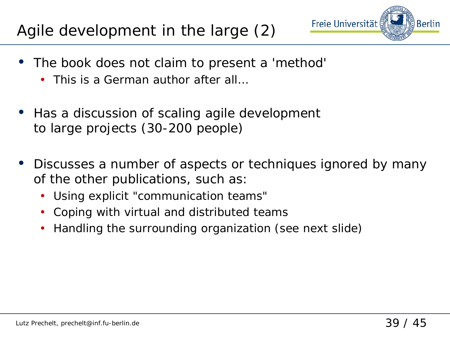# Agile development in the large (2)

- Freie Universität
- The book does not claim to present a 'method'
	- This is a German author after all…
- Has a discussion of scaling agile development to large projects (30-200 people)
- Discusses a number of aspects or techniques ignored by many of the other publications, such as:
	- Using explicit "communication teams"
	- Coping with virtual and distributed teams
	- Handling the surrounding organization (see next slide)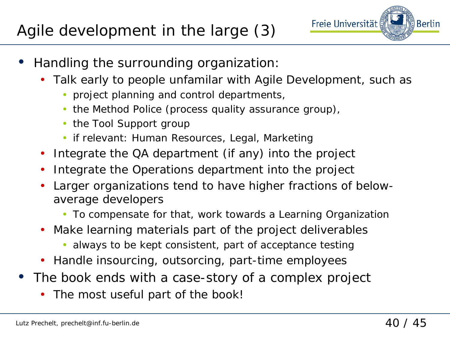

- Handling the surrounding organization:
	- Talk early to people unfamilar with Agile Development, such as
		- project planning and control departments,
		- the Method Police (process quality assurance group),
		- the Tool Support group
		- if relevant: Human Resources, Legal, Marketing
	- Integrate the QA department (if any) into the project
	- Integrate the Operations department into the project
	- Larger organizations tend to have higher fractions of belowaverage developers
		- To compensate for that, work towards a Learning Organization
	- Make learning materials part of the project deliverables
		- always to be kept consistent, part of acceptance testing
	- Handle insourcing, outsorcing, part-time employees
- The book ends with a case-story of a complex project
	- The most useful part of the book!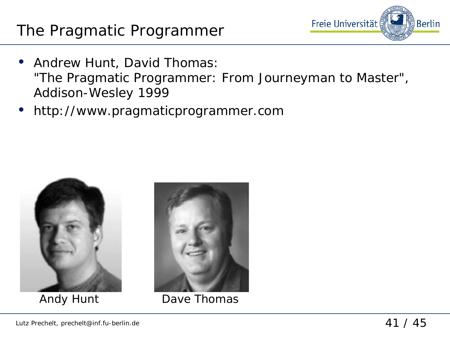### The Pragmatic Programmer



- Andrew Hunt, David Thomas: "The Pragmatic Programmer: From Journeyman to Master", Addison-Wesley 1999
- http://www.pragmaticprogrammer.com





Andy Hunt Dave Thomas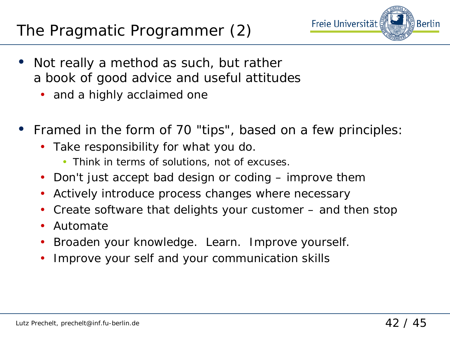# The Pragmatic Programmer (2)



- Not really a method as such, but rather a book of good advice and useful attitudes
	- and a highly acclaimed one
- Framed in the form of 70 "tips", based on a few principles:
	- Take responsibility for what you do.
		- Think in terms of solutions, not of excuses.
	- Don't just accept bad design or coding improve them
	- Actively introduce process changes where necessary
	- Create software that delights your customer and then stop
	- Automate
	- Broaden your knowledge. Learn. Improve yourself.
	- Improve your self and your communication skills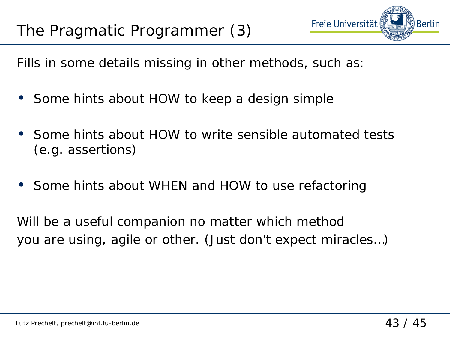

Fills in some details missing in other methods, such as:

- Some hints about HOW to keep a design simple
- Some hints about HOW to write sensible automated tests (e.g. assertions)
- Some hints about WHEN and HOW to use refactoring

Will be a useful companion no matter which method you are using, agile or other. (Just don't expect miracles…)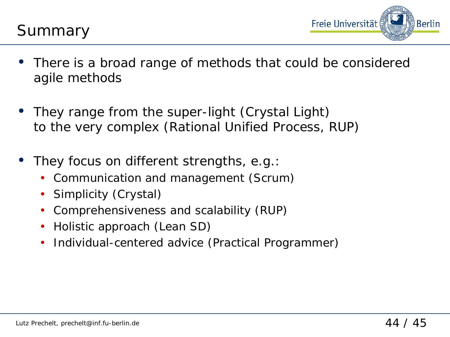



- There is a broad range of methods that could be considered agile methods
- They range from the super-light (Crystal Light) to the very complex (Rational Unified Process, RUP)
- They focus on different strengths, e.g.:
	- Communication and management (Scrum)
	- Simplicity (Crystal)
	- Comprehensiveness and scalability (RUP)
	- Holistic approach (Lean SD)
	- Individual-centered advice (Practical Programmer)